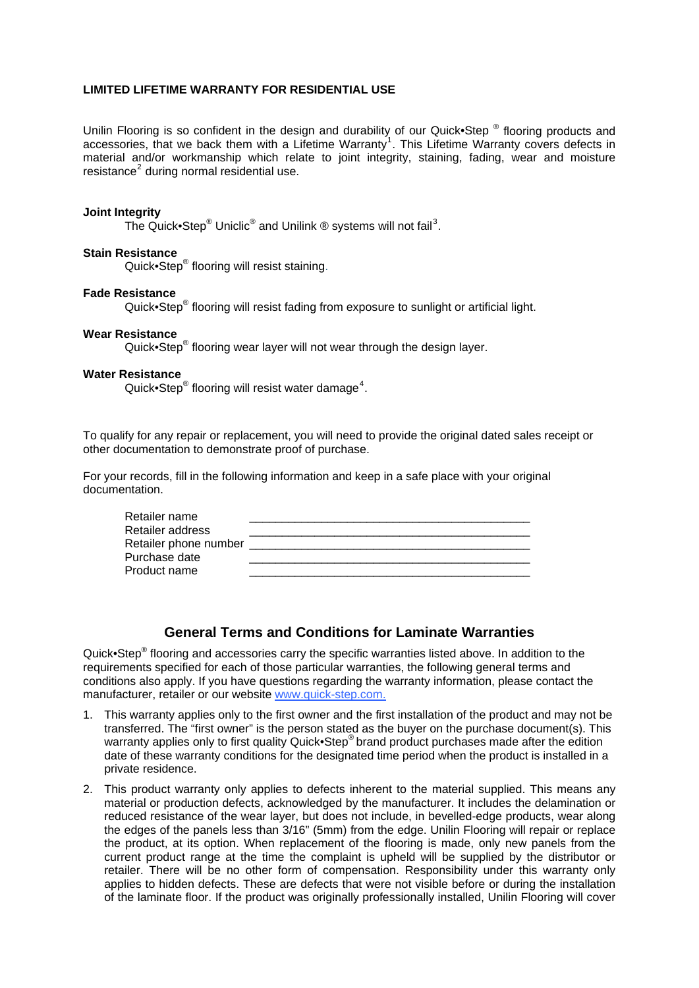## **LIMITED LIFETIME WARRANTY FOR RESIDENTIAL USE**

Unilin Flooring is so confident in the design and durability of our Quick•Step ® flooring products and accessories, that we back them with a Lifetime Warranty<sup>[1](#page-2-0)</sup>. This Lifetime Warranty covers defects in material and/or workmanship which relate to joint integrity, staining, fading, wear and moisture resistance<sup>[2](#page-2-1)</sup> during normal residential use.

#### **Joint Integrity**

The Quick•Step® Uniclic® and Unilink ® systems will not fail<sup>[3](#page-2-1)</sup>.

## **Stain Resistance**

Quick•Step® flooring will resist staining.

#### **Fade Resistance**

Quick•Step<sup>®</sup> flooring will resist fading from exposure to sunlight or artificial light.

### **Wear Resistance**

Quick•Step<sup>®</sup> flooring wear layer will not wear through the design layer.

#### **Water Resistance**

Quick•Step® flooring will resist water damage<sup>[4](#page-2-1)</sup>.

To qualify for any repair or replacement, you will need to provide the original dated sales receipt or other documentation to demonstrate proof of purchase.

For your records, fill in the following information and keep in a safe place with your original documentation.

| Retailer name         |  |
|-----------------------|--|
| Retailer address      |  |
| Retailer phone number |  |
| Purchase date         |  |
| Product name          |  |

# **General Terms and Conditions for Laminate Warranties**

Quick•Step<sup>®</sup> flooring and accessories carry the specific warranties listed above. In addition to the requirements specified for each of those particular warranties, the following general terms and conditions also apply. If you have questions regarding the warranty information, please contact the manufacturer, retailer or our website www.quick-step.com.

- 1. This warranty applies only to the first owner and the first installation of the product and may not be transferred. The "first owner" is the person stated as the buyer on the purchase document(s). This warranty applies only to first quality Quick•Step® brand product purchases made after the edition date of these warranty conditions for the designated time period when the product is installed in a private residence.
- 2. This product warranty only applies to defects inherent to the material supplied. This means any material or production defects, acknowledged by the manufacturer. It includes the delamination or reduced resistance of the wear layer, but does not include, in bevelled-edge products, wear along the edges of the panels less than 3/16" (5mm) from the edge. Unilin Flooring will repair or replace the product, at its option. When replacement of the flooring is made, only new panels from the current product range at the time the complaint is upheld will be supplied by the distributor or retailer. There will be no other form of compensation. Responsibility under this warranty only applies to hidden defects. These are defects that were not visible before or during the installation of the laminate floor. If the product was originally professionally installed, Unilin Flooring will cover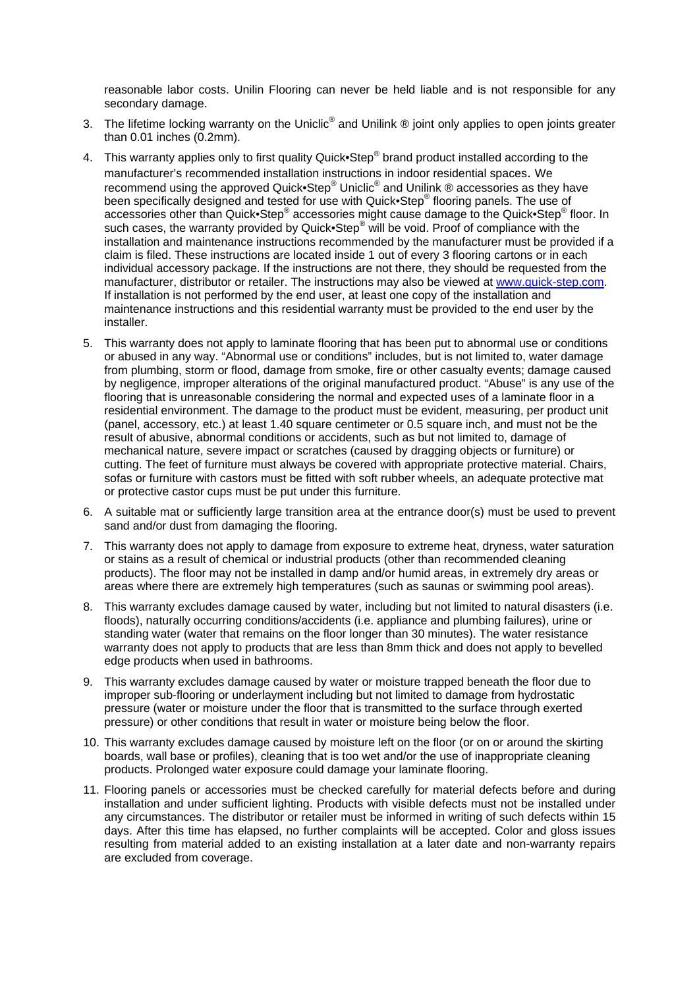reasonable labor costs. Unilin Flooring can never be held liable and is not responsible for any secondary damage.

- 3. The lifetime locking warranty on the Uniclic<sup>®</sup> and Unilink ® joint only applies to open joints greater than 0.01 inches (0.2mm).
- 4. This warranty applies only to first quality Quick•Step® brand product installed according to the manufacturer's recommended installation instructions in indoor residential spaces. We recommend using the approved Quick•Step® Uniclic<sup>®</sup> and Unilink ® accessories as they have been specifically designed and tested for use with Quick•Step® flooring panels. The use of accessories other than Quick•Step® accessories might cause damage to the Quick•Step® floor. In such cases, the warranty provided by Quick•Step® will be void. Proof of compliance with the installation and maintenance instructions recommended by the manufacturer must be provided if a claim is filed. These instructions are located inside 1 out of every 3 flooring cartons or in each individual accessory package. If the instructions are not there, they should be requested from the manufacturer, distributor or retailer. The instructions may also be viewed at [www.quick-step.com.](http://www.quick-step.com/) If installation is not performed by the end user, at least one copy of the installation and maintenance instructions and this residential warranty must be provided to the end user by the installer.
- 5. This warranty does not apply to laminate flooring that has been put to abnormal use or conditions or abused in any way. "Abnormal use or conditions" includes, but is not limited to, water damage from plumbing, storm or flood, damage from smoke, fire or other casualty events; damage caused by negligence, improper alterations of the original manufactured product. "Abuse" is any use of the flooring that is unreasonable considering the normal and expected uses of a laminate floor in a residential environment. The damage to the product must be evident, measuring, per product unit (panel, accessory, etc.) at least 1.40 square centimeter or 0.5 square inch, and must not be the result of abusive, abnormal conditions or accidents, such as but not limited to, damage of mechanical nature, severe impact or scratches (caused by dragging objects or furniture) or cutting. The feet of furniture must always be covered with appropriate protective material. Chairs, sofas or furniture with castors must be fitted with soft rubber wheels, an adequate protective mat or protective castor cups must be put under this furniture.
- 6. A suitable mat or sufficiently large transition area at the entrance door(s) must be used to prevent sand and/or dust from damaging the flooring.
- 7. This warranty does not apply to damage from exposure to extreme heat, dryness, water saturation or stains as a result of chemical or industrial products (other than recommended cleaning products). The floor may not be installed in damp and/or humid areas, in extremely dry areas or areas where there are extremely high temperatures (such as saunas or swimming pool areas).
- 8. This warranty excludes damage caused by water, including but not limited to natural disasters (i.e. floods), naturally occurring conditions/accidents (i.e. appliance and plumbing failures), urine or standing water (water that remains on the floor longer than 30 minutes). The water resistance warranty does not apply to products that are less than 8mm thick and does not apply to bevelled edge products when used in bathrooms.
- 9. This warranty excludes damage caused by water or moisture trapped beneath the floor due to improper sub-flooring or underlayment including but not limited to damage from hydrostatic pressure (water or moisture under the floor that is transmitted to the surface through exerted pressure) or other conditions that result in water or moisture being below the floor.
- 10. This warranty excludes damage caused by moisture left on the floor (or on or around the skirting boards, wall base or profiles), cleaning that is too wet and/or the use of inappropriate cleaning products. Prolonged water exposure could damage your laminate flooring.
- 11. Flooring panels or accessories must be checked carefully for material defects before and during installation and under sufficient lighting. Products with visible defects must not be installed under any circumstances. The distributor or retailer must be informed in writing of such defects within 15 days. After this time has elapsed, no further complaints will be accepted. Color and gloss issues resulting from material added to an existing installation at a later date and non-warranty repairs are excluded from coverage.